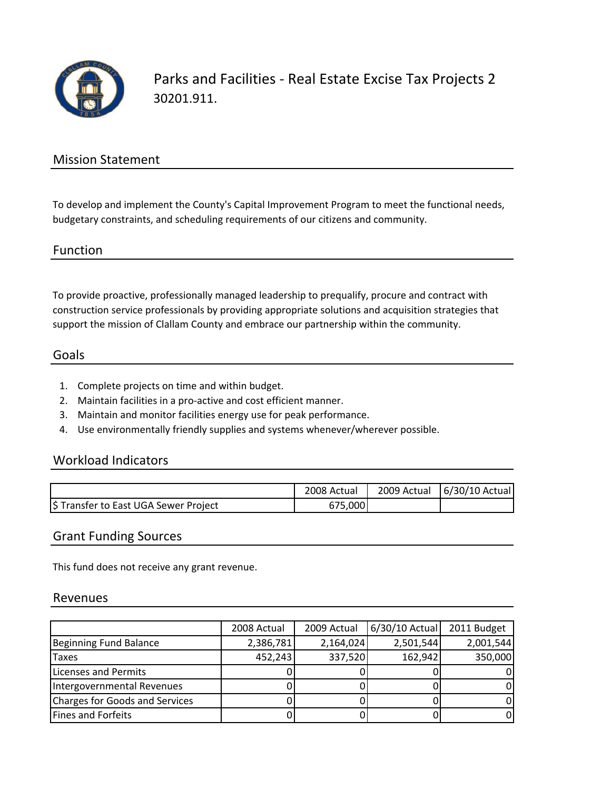

Parks and Facilities ‐ Real Estate Excise Tax Projects 2 30201.911.

### Mission Statement

To develop and implement the County's Capital Improvement Program to meet the functional needs, budgetary constraints, and scheduling requirements of our citizens and community.

Function

To provide proactive, professionally managed leadership to prequalify, procure and contract with construction service professionals by providing appropriate solutions and acquisition strategies that support the mission of Clallam County and embrace our partnership within the community.

#### Goals

- 1. Complete projects on time and within budget.
- 2. Maintain facilities in a pro‐active and cost efficient manner.
- 3. Maintain and monitor facilities energy use for peak performance.
- 4. Use environmentally friendly supplies and systems whenever/wherever possible.

#### Workload Indicators

|                                      | 2008 Actual | 2009 Actual | 6/30/10 Actual |
|--------------------------------------|-------------|-------------|----------------|
| S Transfer to East UGA Sewer Project | $-75,000$   |             |                |

#### Grant Funding Sources

This fund does not receive any grant revenue.

#### Revenues

|                                | 2008 Actual | 2009 Actual | 6/30/10 Actual | 2011 Budget |
|--------------------------------|-------------|-------------|----------------|-------------|
| Beginning Fund Balance         | 2,386,781   | 2,164,024   | 2,501,544      | 2,001,544   |
| <b>Taxes</b>                   | 452,243     | 337,520     | 162,942        | 350,000     |
| Licenses and Permits           |             |             |                |             |
| Intergovernmental Revenues     |             |             |                |             |
| Charges for Goods and Services |             |             |                |             |
| Fines and Forfeits             |             |             |                |             |